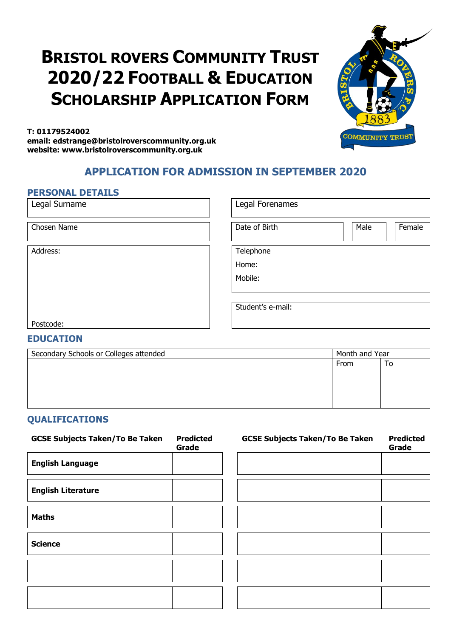# **BRISTOL ROVERS COMMUNITY TRUST 2020/22 FOOTBALL & EDUCATION SCHOLARSHIP APPLICATION FORM**



**T: 01179524002 email: edstrange@bristolroverscommunity.org.uk website: www.bristolroverscommunity.org.uk**

### **APPLICATION FOR ADMISSION IN SEPTEMBER 2020**

#### **PERSONAL DETAILS**

Legal Surname

Chosen Name

Address:

| Legal Forenames   |      |        |
|-------------------|------|--------|
| Date of Birth     | Male | Female |
| Telephone         |      |        |
| Home:             |      |        |
| Mobile:           |      |        |
|                   |      |        |
| Student's e-mail: |      |        |

Postcode:

#### **EDUCATION**

| Secondary Schools or Colleges attended | Month and Year |    |  |
|----------------------------------------|----------------|----|--|
|                                        | From           | ١o |  |
|                                        |                |    |  |
|                                        |                |    |  |
|                                        |                |    |  |
|                                        |                |    |  |

#### **QUALIFICATIONS**

| <b>GCSE Subjects Taken/To Be Taken</b> | <b>Predicted</b><br>Grade | <b>GCSE Subjects Taken/To Be Taken</b> | <b>Predicted</b><br>Grade |
|----------------------------------------|---------------------------|----------------------------------------|---------------------------|
| <b>English Language</b>                |                           |                                        |                           |
| <b>English Literature</b>              |                           |                                        |                           |
| <b>Maths</b>                           |                           |                                        |                           |
| <b>Science</b>                         |                           |                                        |                           |
|                                        |                           |                                        |                           |
|                                        |                           |                                        |                           |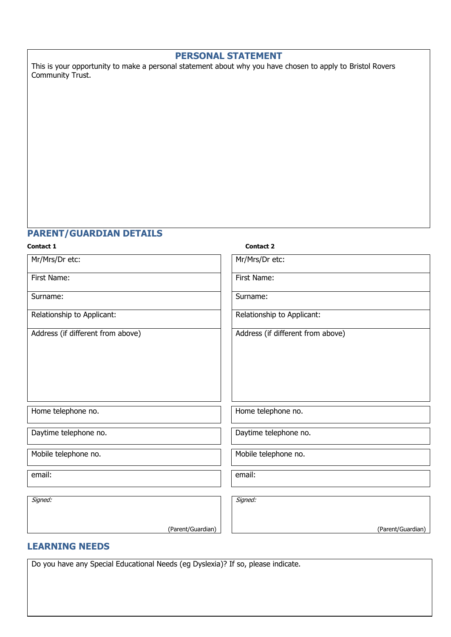#### **PERSONAL STATEMENT**

This is your opportunity to make a personal statement about why you have chosen to apply to Bristol Rovers Community Trust.

#### **PARENT/GUARDIAN DETAILS**

# **Contact 1 Contact 2** Mr/Mrs/Dr etc: Mr/Mrs/Dr etc: First Name: First Name: Surname: Surname: Relationship to Applicant: Relationship to Applicant: Address (if different from above) Address (if different from above) Home telephone no.  $\parallel$  Home telephone no. Daytime telephone no. **Daytime telephone no.** Daytime telephone no. Mobile telephone no.  $\blacksquare$  Mobile telephone no. email: email: Signed: (Parent/Guardian) Signed: (Parent/Guardian)

#### **LEARNING NEEDS**

Do you have any Special Educational Needs (eg Dyslexia)? If so, please indicate.